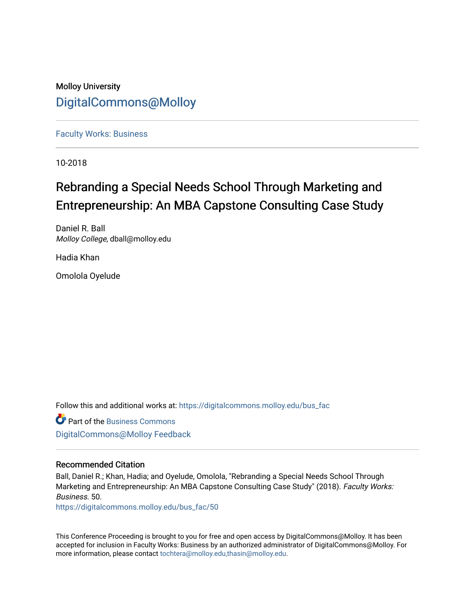# Molloy University [DigitalCommons@Molloy](https://digitalcommons.molloy.edu/)

[Faculty Works: Business](https://digitalcommons.molloy.edu/bus_fac) 

10-2018

# Rebranding a Special Needs School Through Marketing and Entrepreneurship: An MBA Capstone Consulting Case Study

Daniel R. Ball Molloy College, dball@molloy.edu

Hadia Khan

Omolola Oyelude

Follow this and additional works at: [https://digitalcommons.molloy.edu/bus\\_fac](https://digitalcommons.molloy.edu/bus_fac?utm_source=digitalcommons.molloy.edu%2Fbus_fac%2F50&utm_medium=PDF&utm_campaign=PDFCoverPages)

Part of the [Business Commons](https://network.bepress.com/hgg/discipline/622?utm_source=digitalcommons.molloy.edu%2Fbus_fac%2F50&utm_medium=PDF&utm_campaign=PDFCoverPages) [DigitalCommons@Molloy Feedback](https://molloy.libwizard.com/f/dcfeedback)

# Recommended Citation

Ball, Daniel R.; Khan, Hadia; and Oyelude, Omolola, "Rebranding a Special Needs School Through Marketing and Entrepreneurship: An MBA Capstone Consulting Case Study" (2018). Faculty Works: Business. 50.

[https://digitalcommons.molloy.edu/bus\\_fac/50](https://digitalcommons.molloy.edu/bus_fac/50?utm_source=digitalcommons.molloy.edu%2Fbus_fac%2F50&utm_medium=PDF&utm_campaign=PDFCoverPages) 

This Conference Proceeding is brought to you for free and open access by DigitalCommons@Molloy. It has been accepted for inclusion in Faculty Works: Business by an authorized administrator of DigitalCommons@Molloy. For more information, please contact [tochtera@molloy.edu,thasin@molloy.edu.](mailto:tochtera@molloy.edu,thasin@molloy.edu)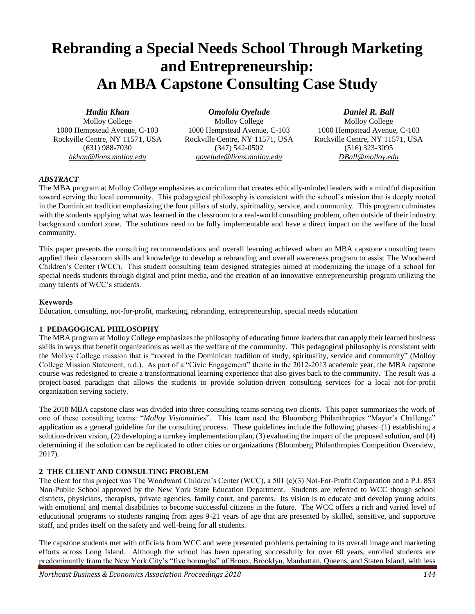# **Rebranding a Special Needs School Through Marketing and Entrepreneurship: An MBA Capstone Consulting Case Study**

# *Hadia Khan*

Molloy College 1000 Hempstead Avenue, C-103 Rockville Centre, NY 11571, USA (631) 988-7030 *hkhan@lions.molloy.edu*

*Omolola Oyelude* Molloy College 1000 Hempstead Avenue, C-103 Rockville Centre, NY 11571, USA (347) 542-0502 *ooyelude@lions.molloy.edu*

*Daniel R. Ball*

Molloy College 1000 Hempstead Avenue, C-103 Rockville Centre, NY 11571, USA (516) 323-3095 *DBall@molloy.edu*

# *ABSTRACT*

The MBA program at Molloy College emphasizes a curriculum that creates ethically-minded leaders with a mindful disposition toward serving the local community. This pedagogical philosophy is consistent with the school's mission that is deeply rooted in the Dominican tradition emphasizing the four pillars of study, spirituality, service, and community. This program culminates with the students applying what was learned in the classroom to a real-world consulting problem, often outside of their industry background comfort zone. The solutions need to be fully implementable and have a direct impact on the welfare of the local community.

This paper presents the consulting recommendations and overall learning achieved when an MBA capstone consulting team applied their classroom skills and knowledge to develop a rebranding and overall awareness program to assist The Woodward Children's Center (WCC). This student consulting team designed strategies aimed at modernizing the image of a school for special needs students through digital and print media, and the creation of an innovative entrepreneurship program utilizing the many talents of WCC's students.

#### **Keywords**

Education, consulting, not-for-profit, marketing, rebranding, entrepreneurship, special needs education

#### **1 PEDAGOGICAL PHILOSOPHY**

The MBA program at Molloy College emphasizes the philosophy of educating future leaders that can apply their learned business skills in ways that benefit organizations as well as the welfare of the community. This pedagogical philosophy is consistent with the Molloy College mission that is "rooted in the Dominican tradition of study, spirituality, service and community" (Molloy College Mission Statement, n.d.). As part of a "Civic Engagement" theme in the 2012-2013 academic year, the MBA capstone course was redesigned to create a transformational learning experience that also gives back to the community. The result was a project-based paradigm that allows the students to provide solution-driven consulting services for a local not-for-profit organization serving society.

The 2018 MBA capstone class was divided into three consulting teams serving two clients. This paper summarizes the work of one of these consulting teams: "*Molloy Visionairies*". This team used the Bloomberg Philanthropies "Mayor's Challenge" application as a general guideline for the consulting process. These guidelines include the following phases: (1) establishing a solution-driven vision, (2) developing a turnkey implementation plan, (3) evaluating the impact of the proposed solution, and (4) determining if the solution can be replicated to other cities or organizations (Bloomberg Philanthropies Competition Overview, 2017).

#### **2 THE CLIENT AND CONSULTING PROBLEM**

The client for this project was The Woodward Children's Center (WCC), a 501 (c)(3) Not-For-Profit Corporation and a P.L 853 Non-Public School approved by the New York State Education Department. Students are referred to WCC though school districts, physicians, therapists, private agencies, family court, and parents. Its vision is to educate and develop young adults with emotional and mental disabilities to become successful citizens in the future. The WCC offers a rich and varied level of educational programs to students ranging from ages 9-21 years of age that are presented by skilled, sensitive, and supportive staff, and prides itself on the safety and well-being for all students.

The capstone students met with officials from WCC and were presented problems pertaining to its overall image and marketing efforts across Long Island. Although the school has been operating successfully for over 60 years, enrolled students are predominantly from the New York City's "five boroughs" of Bronx, Brooklyn, Manhattan, Queens, and Staten Island, with less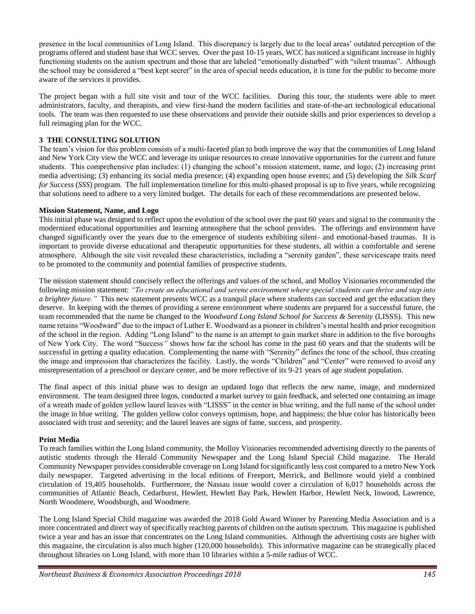presence in the local communities of Long Island. This discrepancy is largely due to the local areas' outdated perception of the programs offered and student base that WCC serves. Over the past 10-15 years, WCC has noticed a significant increase in highly functioning students on the autism spectrum and those that are labeled "emotionally disturbed" with "silent traumas". Although the school may be considered a "best kept secret" in the area of special needs education, it is time for the public to become more aware of the services it provides.

The project began with a full site visit and tour of the WCC facilities. During this tour, the students were able to meet administrators, faculty, and therapists, and view first-hand the modern facilities and state-of-the-art technological educational tools. The team was then requested to use these observations and provide their outside skills and prior experiences to develop a full reimaging plan for the WCC.

# **3 THE CONSULTING SOLUTION**

The team's vision for this problem consists of a multi-faceted plan to both improve the way that the communities of Long Island and New York City view the WCC and leverage its unique resources to create innovative opportunities for the current and future students. This comprehensive plan includes: (1) changing the school's mission statement, name, and logo; (2) increasing print media advertising; (3) enhancing its social media presence; (4) expanding open house events; and (5) developing the *Silk Scarf for Success* (*SSS*) program. The full implementation timeline for this multi-phased proposal is up to five years, while recognizing that solutions need to adhere to a very limited budget. The details for each of these recommendations are presented below.

# **Mission Statement, Name, and Logo**

This initial phase was designed to reflect upon the evolution of the school over the past 60 years and signal to the community the modernized educational opportunities and learning atmosphere that the school provides. The offerings and environment have changed significantly over the years due to the emergence of students exhibiting silent- and emotional-based traumas. It is important to provide diverse educational and therapeutic opportunities for these students, all within a comfortable and serene atmosphere. Although the site visit revealed these characteristics, including a "serenity garden", these servicescape traits need to be promoted to the community and potential families of prospective students.

The mission statement should concisely reflect the offerings and values of the school, and Molloy Visionaries recommended the following mission statement: *"To create an educational and serene environment where special students can thrive and step into a brighter future."* This new statement presents WCC as a tranquil place where students can succeed and get the education they deserve. In keeping with the themes of providing a serene environment where students are prepared for a successful future, the team recommended that the name be changed to the *Woodward Long Island School for Success & Serenity* (LISSS). This new name retains "Woodward" due to the impact of Luther E. Woodward as a pioneer in children's mental health and prior recognition of the school in the region. Adding "Long Island" to the name is an attempt to gain market share in addition to the five boroughs of New York City. The word "Success*"* shows how far the school has come in the past 60 years and that the students will be successful in getting a quality education. Complementing the name with "Serenity" defines the tone of the school, thus creating the image and impression that characterizes the facility. Lastly, the words "Children" and "Center" were removed to avoid any misrepresentation of a preschool or daycare center, and be more reflective of its 9-21 years of age student population.

The final aspect of this initial phase was to design an updated logo that reflects the new name, image, and modernized environment. The team designed three logos, conducted a market survey to gain feedback, and selected one containing an image of a wreath made of golden yellow laurel leaves with "LISSS" in the center in blue writing, and the full name of the school under the image in blue writing. The golden yellow color conveys optimism, hope, and happiness; the blue color has historically been associated with trust and serenity; and the laurel leaves are signs of fame, success, and prosperity.

# **Print Media**

To reach families within the Long Island community, the Molloy Visionaries recommended advertising directly to the parents of autistic students through the Herald Community Newspaper and the Long Island Special Child magazine. The Herald Community Newspaper provides considerable coverage on Long Island for significantly less cost compared to a metro New York daily newspaper. Targeted advertising in the local editions of Freeport, Merrick, and Bellmore would yield a combined circulation of 19,405 households. Furthermore, the Nassau issue would cover a circulation of 6,017 households across the communities of Atlantic Beach, Cedarhurst, Hewlett, Hewlett Bay Park, Hewlett Harbor, Hewlett Neck, Inwood, Lawrence, North Woodmere, Woodsburgh, and Woodmere.

The Long Island Special Child magazine was awarded the 2018 Gold Award Winner by Parenting Media Association and is a more concentrated and direct way of specifically reaching parents of children on the autism spectrum. This magazine is published twice a year and has an issue that concentrates on the Long Island communities. Although the advertising costs are higher with this magazine, the circulation is also much higher (120,000 households). This informative magazine can be strategically placed throughout libraries on Long Island, with more than 10 libraries within a 5-mile radius of WCC.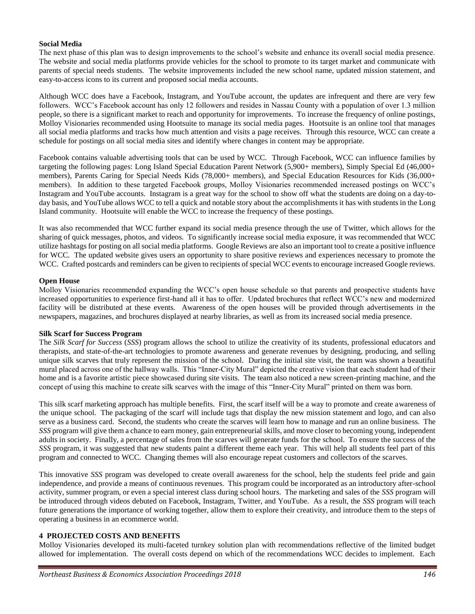#### **Social Media**

The next phase of this plan was to design improvements to the school's website and enhance its overall social media presence. The website and social media platforms provide vehicles for the school to promote to its target market and communicate with parents of special needs students. The website improvements included the new school name, updated mission statement, and easy-to-access icons to its current and proposed social media accounts.

Although WCC does have a Facebook, Instagram, and YouTube account, the updates are infrequent and there are very few followers. WCC's Facebook account has only 12 followers and resides in Nassau County with a population of over 1.3 million people, so there is a significant market to reach and opportunity for improvements. To increase the frequency of online postings, Molloy Visionaries recommended using Hootsuite to manage its social media pages. Hootsuite is an online tool that manages all social media platforms and tracks how much attention and visits a page receives. Through this resource, WCC can create a schedule for postings on all social media sites and identify where changes in content may be appropriate.

Facebook contains valuable advertising tools that can be used by WCC. Through Facebook, WCC can influence families by targeting the following pages: Long Island Special Education Parent Network (5,900+ members), Simply Special Ed (46,000+ members), Parents Caring for Special Needs Kids (78,000+ members), and Special Education Resources for Kids (36,000+ members). In addition to these targeted Facebook groups, Molloy Visionaries recommended increased postings on WCC's Instagram and YouTube accounts. Instagram is a great way for the school to show off what the students are doing on a day-today basis, and YouTube allows WCC to tell a quick and notable story about the accomplishments it has with students in the Long Island community. Hootsuite will enable the WCC to increase the frequency of these postings.

It was also recommended that WCC further expand its social media presence through the use of Twitter, which allows for the sharing of quick messages, photos, and videos. To significantly increase social media exposure, it was recommended that WCC utilize hashtags for posting on all social media platforms. Google Reviews are also an important tool to create a positive influence for WCC. The updated website gives users an opportunity to share positive reviews and experiences necessary to promote the WCC. Crafted postcards and reminders can be given to recipients of special WCC events to encourage increased Google reviews.

#### **Open House**

Molloy Visionaries recommended expanding the WCC's open house schedule so that parents and prospective students have increased opportunities to experience first-hand all it has to offer. Updated brochures that reflect WCC's new and modernized facility will be distributed at these events. Awareness of the open houses will be provided through advertisements in the newspapers, magazines, and brochures displayed at nearby libraries, as well as from its increased social media presence.

#### **Silk Scarf for Success Program**

The *Silk Scarf for Success* (*SSS*) program allows the school to utilize the creativity of its students, professional educators and therapists, and state-of-the-art technologies to promote awareness and generate revenues by designing, producing, and selling unique silk scarves that truly represent the mission of the school. During the initial site visit, the team was shown a beautiful mural placed across one of the hallway walls. This "Inner-City Mural" depicted the creative vision that each student had of their home and is a favorite artistic piece showcased during site visits. The team also noticed a new screen-printing machine, and the concept of using this machine to create silk scarves with the image of this "Inner-City Mural" printed on them was born.

This silk scarf marketing approach has multiple benefits. First, the scarf itself will be a way to promote and create awareness of the unique school. The packaging of the scarf will include tags that display the new mission statement and logo, and can also serve as a business card. Second, the students who create the scarves will learn how to manage and run an online business. The *SSS* program will give them a chance to earn money, gain entrepreneurial skills, and move closer to becoming young, independent adults in society. Finally, a percentage of sales from the scarves will generate funds for the school. To ensure the success of the *SSS* program, it was suggested that new students paint a different theme each year. This will help all students feel part of this program and connected to WCC. Changing themes will also encourage repeat customers and collectors of the scarves.

This innovative *SSS* program was developed to create overall awareness for the school, help the students feel pride and gain independence, and provide a means of continuous revenues. This program could be incorporated as an introductory after-school activity, summer program, or even a special interest class during school hours. The marketing and sales of the *SSS* program will be introduced through videos debuted on Facebook, Instagram, Twitter, and YouTube. As a result, the *SSS* program will teach future generations the importance of working together, allow them to explore their creativity, and introduce them to the steps of operating a business in an ecommerce world.

#### **4 PROJECTED COSTS AND BENEFITS**

Molloy Visionaries developed its multi-faceted turnkey solution plan with recommendations reflective of the limited budget allowed for implementation. The overall costs depend on which of the recommendations WCC decides to implement. Each